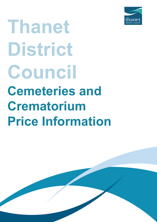

# **Thanet District Council Cemeteries and Crematorium Price Information**

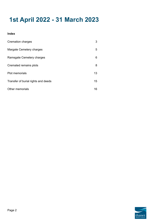## **1st April 2022 - 31 March 2023**

#### **Index**

| Cremation charges                   | 3  |
|-------------------------------------|----|
| Margate Cemetery charges            | 5  |
| Ramsgate Cemetery charges           | 6  |
| Cremated remains plots              | 8  |
| <b>Plot memorials</b>               | 13 |
| Transfer of burial rights and deeds | 15 |
| Other memorials                     | 16 |

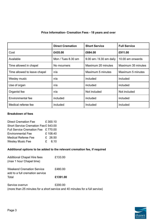#### **Price Information- Cremation Fees - 18 years and over**

|                              | <b>Direct Cremation</b> | <b>Short Service</b>    | <b>Full Service</b> |
|------------------------------|-------------------------|-------------------------|---------------------|
| Cost                         | £435.00                 | £684.00                 | £911.00             |
| Available                    | Mon / Tues 8.30 am      | 9.00 am / 9.30 am daily | 10.00 am onwards    |
| Time allowed in chapel       | No mourners             | Maximum 20 minutes      | Maximum 35 minutes  |
| Time allowed to leave chapel | n/a                     | Maximum 5 minutes       | Maximum 5 minutes   |
| Wesley music                 | n/a                     | included                | included            |
| Use of organ                 | n/a                     | included                | included            |
| Organist fee                 | n/a                     | Not included            | Not included        |
| Environmental fee            | included                | included                | included            |
| Medical referee fee          | included                | Included                | included            |

#### **Breakdown of fees**

| <b>Direct Cremation Fee</b>          | £300.10 |
|--------------------------------------|---------|
| Short Service Cremation Fee £ 543.00 |         |
| Full Service Cremation Fee £770.00   |         |
| <b>Environmental Fee</b>             | £108.40 |
| <b>Medical Referee Fee</b>           | £ 26.50 |
| <b>Wesley Music Fee</b>              | £ 6.10  |

#### **Additional options to be added to the relevant cremation fee, if required**

| <b>Additional Chapel Hire fees</b><br>(max 1 hour Chapel time) | £133.00                                                                      |
|----------------------------------------------------------------|------------------------------------------------------------------------------|
| Weekend Cremation Service<br>add to a full cremation service   | £480.00                                                                      |
| Total                                                          | £1391.00                                                                     |
| Service overrun                                                | £200.00                                                                      |
|                                                                | (more than 25 minutes for a short service and 40 minutes for a full service) |

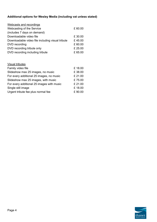### **Additional options for Wesley Media (including vat unless stated)**

| Webcasts and recordings                          |         |
|--------------------------------------------------|---------|
| Webcasting of the Service                        | £ 60.00 |
| (includes 7 days on demand)                      |         |
| Downloadable video file                          | £ 30.00 |
| Downloadable video file including visual tribute | £45.00  |
| DVD recording                                    | £ 60.00 |
| DVD recording tribute only                       | £ 25.00 |
| DVD recording including tribute                  | £ 65.00 |
|                                                  |         |

| <b>Visual tributes</b>                    |         |
|-------------------------------------------|---------|
| Family video file                         | £18.00  |
| Slideshow max 25 images, no music         | £38.00  |
| For every additional 25 images, no music  | £ 21.00 |
| Slideshow max 25 images, with music       | £75.00  |
| For every additional 25 images with music | £ 21.00 |
| Single still image                        | £18.00  |
| Urgent tribute fee plus normal fee        | £90.00  |

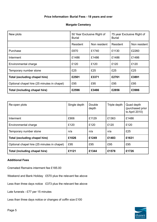#### **Price Information- Burial Fees - 18 years and over**

#### **Margate Cemetery**

| New plots                                   | 50 Year Exclusive Right of<br>Burial |              | 75 year Exclusive Right of<br><b>Burial</b> |              |
|---------------------------------------------|--------------------------------------|--------------|---------------------------------------------|--------------|
|                                             | Resident                             | Non resident | Resident                                    | Non resident |
| Purchase                                    | £870                                 | £1740        | £1130                                       | £2260        |
| Interment                                   | £1486                                | £1486        | £1486                                       | £1486        |
| Environmental charge                        | £120                                 | £120         | £120                                        | £120         |
| Temporary number stone                      | £25                                  | £25          | £25                                         | £25          |
| Total (excluding chapel hire)               | £2501                                | £3371        | £2761                                       | £3891        |
| Optional chapel hire (25 minutes in chapel) | £95                                  | £95          | £95                                         | £95          |
| Total (including chapel hire)               | £2596                                | £3466        | £2856                                       | £3986        |

| Re-open plots                               | Single depth | Double<br>depth | Triple depth | Quad depth<br>(purchased prior<br>to April 2010) |
|---------------------------------------------|--------------|-----------------|--------------|--------------------------------------------------|
| Interment                                   | £906         | £1129           | £1363        | £1486                                            |
| Environmental charge                        | £120         | £120            | £120         | £120                                             |
| Temporary number stone                      | n/a          | n/a             | n/a          | £25                                              |
| Total (excluding chapel hire)               | £1026        | £1249           | £1483        | £1631                                            |
| Optional chapel hire (25 minutes in chapel) | £95          | £95             | £95          | £95                                              |
| Total (including chapel hire)               | £1121        | £1344           | £1578        | £1726                                            |

#### **Additional Fees**

Cremated Remains interment fee £185.00

Weekend and Bank Holiday £570 plus the relevant fee above

Less than three days notice £373 plus the relevant fee above

Late funerals - £77 per 15 minutes

Less than three days notice or changes of coffin size £100

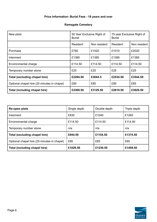### **Price Information- Burial Fees - 18 years and over**

#### **Ramsgate Cemetery**

| New plots                                   | 50 Year Exclusive Right of<br><b>Burial</b> |              | 75 year Exclusive Right of<br><b>Burial</b> |              |
|---------------------------------------------|---------------------------------------------|--------------|---------------------------------------------|--------------|
|                                             | Resident                                    | Non resident | Resident                                    | Non resident |
| Purchase                                    | £760                                        | £1520        | £1010                                       | £2020        |
| Interment                                   | £1385                                       | £1385        | £1385                                       | £1385        |
| Environmental charge                        | £114.50                                     | £114.50      | £114.50                                     | £114.50      |
| Temporary number stone                      | £25                                         | £25          | £25                                         | £25          |
| Total (excluding chapel hire)               | £2284.50                                    | £3044.5      | £2534.50                                    | £3544.50     |
| Optional chapel hire (25 minutes in chapel) | £85                                         | £85          | £85                                         | £85          |
| Total (including chapel hire)               | £2369.50                                    | £3129.50     | £2619.50                                    | £3629.50     |

| Re-open plots                               | Single depth | Double depth | Triple depth |
|---------------------------------------------|--------------|--------------|--------------|
| Interment                                   | £830         | £1040        | £1260        |
| Environmental charge                        | £114.50      | £114.50      | £114.50      |
| Temporary number stone                      | n/a          | n/a          | n/a          |
| Total (excluding chapel hire)               | £944.50      | £1154.50     | £1374.50     |
| Optional chapel hire (25 minutes in chapel) | £85          | £85          | £85          |
| Total (including chapel hire)               | £1029.50     | £1239.50     | £1459.50     |

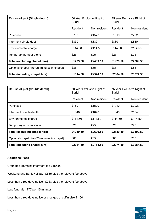| Re-use of plot (Single depth)               | 50 Year Exclusive Right of<br><b>Burial</b> |              | 75 year Exclusive Right of<br><b>Burial</b> |              |
|---------------------------------------------|---------------------------------------------|--------------|---------------------------------------------|--------------|
|                                             | Resident                                    | Non resident | Resident                                    | Non resident |
| Purchase                                    | £760                                        | £1520        | £1010                                       | £2020        |
| Interment single depth                      | £830                                        | £830         | £830                                        | £830         |
| Environmental charge                        | £114.50                                     | £114.50      | £114.50                                     | £114.50      |
| Temporary number stone                      | £25                                         | £25          | £25                                         | £25          |
| Total (excluding chapel hire)               | £1729.50                                    | £2489.50     | £1979.50                                    | £2989.50     |
| Optional chapel hire (25 minutes in chapel) | £85                                         | £85          | £85                                         | £85          |
| Total (including chapel hire)               | £1814.50                                    | £2574.50     | £2064.50                                    | £3074.50     |

| Re-use of plot (double depth)               | 50 Year Exclusive Right of<br><b>Burial</b> |              | 75 year Exclusive Right of<br><b>Burial</b> |              |
|---------------------------------------------|---------------------------------------------|--------------|---------------------------------------------|--------------|
|                                             | <b>Resident</b>                             | Non resident | Resident                                    | Non resident |
| Purchase                                    | £760                                        | £1520        | £1010                                       | £2020        |
| Interment double depth                      | £1040                                       | £1040        | £1040                                       | £1040        |
| Environmental charge                        | £114.50                                     | £114.50      | £114.50                                     | £114.50      |
| Temporary number stone                      | £25                                         | £25          | £25                                         | £25          |
| Total (excluding chapel hire)               | £1939.50                                    | £2699.50     | £2189.50                                    | £3199.50     |
| Optional chapel hire (25 minutes in chapel) | £85                                         | £85          | £85                                         | £85          |
| Total (including chapel hire)               | £2024.50                                    | £2784.50     | £2274.50                                    | £3284.50     |

#### **Additional Fees**

Cremated Remains interment fee £185.00

Weekend and Bank Holiday £535 plus the relevant fee above

Less than three days notice £368 plus the relevant fee above

Late funerals - £77 per 15 minutes

Less than three days notice or changes of coffin size £ 100

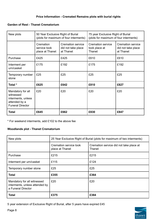#### **Price Information - Cremated Remains plots with burial rights**

#### **Garden of Rest - Thanet Crematorium**

| New plots                                                                                        | 50 Year Exclusive Right of Burial<br>(plots for maximum of four interments) |                                                             | 75 year Exclusive Right of Burial<br>(plots for maximum of four interments) |                                                             |
|--------------------------------------------------------------------------------------------------|-----------------------------------------------------------------------------|-------------------------------------------------------------|-----------------------------------------------------------------------------|-------------------------------------------------------------|
|                                                                                                  | Cremation<br>service took<br>place at Thanet                                | <b>Cremation service</b><br>did not take place<br>at Thanet | <b>Cremation service</b><br>took place at<br>Thanet                         | <b>Cremation service</b><br>did not take place<br>at Thanet |
| Purchase                                                                                         | £425                                                                        | £425                                                        | £610                                                                        | £610                                                        |
| Interment per<br>urn/casket                                                                      | £175                                                                        | £192                                                        | £175                                                                        | £192                                                        |
| Temporary number<br>stone                                                                        | £25                                                                         | £25                                                         | £25                                                                         | £25                                                         |
| Total *                                                                                          | £625                                                                        | £642                                                        | £810                                                                        | £827                                                        |
| Mandatory for all<br>witnessed<br>interments, unless<br>attended by a<br><b>Funeral Director</b> | £20                                                                         | £20                                                         | £20                                                                         | £20                                                         |
| <b>Total</b>                                                                                     | £645                                                                        | £662                                                        | £830                                                                        | £847                                                        |

\* For weekend interments, add £102 to the above fee

#### **Woodlands plot - Thanet Crematorium**

| New plots                                                                           | 25 Year Exclusive Right of Burial (plots for maximum of two interments) |                                                   |  |
|-------------------------------------------------------------------------------------|-------------------------------------------------------------------------|---------------------------------------------------|--|
|                                                                                     | Cremation service took<br>place at Thanet                               | Cremation service did not take place at<br>Thanet |  |
| Purchase                                                                            | £215                                                                    | £215                                              |  |
| Interment per urn/casket                                                            | £115                                                                    | £124                                              |  |
| Temporary number stone                                                              | £25                                                                     | £25                                               |  |
| <b>Total</b>                                                                        | £355                                                                    | £364                                              |  |
| Mandatory for all witnessed<br>interments, unless attended by<br>a Funeral Director | £20                                                                     | £20                                               |  |
| <b>Total</b>                                                                        | £375                                                                    | £384                                              |  |

5 year extension of Exclusive Right of Burial, after 5 years have expired £45

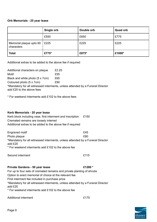#### **Orb Memorials - 25 year lease**

|                                       | Single orb   | Double orb | <b>Quad orb</b> |
|---------------------------------------|--------------|------------|-----------------|
|                                       | £550         | £650       | £775            |
| Memorial plaque upto 60<br>characters | $\vert$ £225 | £225       | £225            |
| <b>Total</b>                          | £775*        | £875*      | £1000*          |

Additional extras to be added to the above fee if required

| Additional characters on plaque | £2.25                                                                          |
|---------------------------------|--------------------------------------------------------------------------------|
| Motif                           | £55                                                                            |
| Black and white photo (5 x 7cm) | £65                                                                            |
| Coloured photo (5 x 7cm)        | £90                                                                            |
| add £20 to the above fees       | *Mandatory for all witnessed interments, unless attended by a Funeral Director |

\* For weekend interments add £102 to the above fees

#### **Kerb Memorials - 20 year lease**

| Kerb block including vase, first interment and inscription | £150 |
|------------------------------------------------------------|------|
| Cremated remains are loosely interred                      |      |
| Additional extras to be added to the above fee if required |      |

| Engraved motif                                                                            | £45 |
|-------------------------------------------------------------------------------------------|-----|
| Photo plaque                                                                              | £80 |
| *Mandatory for all witnessed interments, unless attended by a Funeral Director<br>add £20 |     |
| * For weekend interments add £102 to the above fee                                        |     |

| Second interment | £115 |
|------------------|------|
|------------------|------|

#### **Private Gardens - 50 year lease £1280 \***

For up to four sets of cremated remains and private planting of shrubs

Option to erect memorial of choice at the relevant fee

First interment fee included in purchase price

\*Mandatory for all witnessed interments, unless attended by a Funeral Director add £20

\* For weekend interments add £102 to the above fee

Additional interment **E175** 

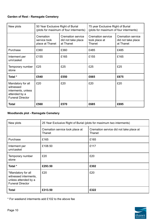#### **Garden of Rest - Ramsgate Cemetery**

| New plots                                                                                        | 50 Year Exclusive Right of Burial<br>(plots for maximum of four interments) |                                                      | 75 year Exclusive Right of Burial<br>(plots for maximum of four interments) |                                                             |
|--------------------------------------------------------------------------------------------------|-----------------------------------------------------------------------------|------------------------------------------------------|-----------------------------------------------------------------------------|-------------------------------------------------------------|
|                                                                                                  | Cremation<br>service took<br>place at Thanet                                | Cremation service<br>did not take place<br>at Thanet | Cremation service<br>took place at<br>Thanet                                | <b>Cremation service</b><br>did not take place<br>at Thanet |
| Purchase                                                                                         | £360                                                                        | £360                                                 | £485                                                                        | £485                                                        |
| Interment per<br>urn/casket                                                                      | £155                                                                        | £165                                                 | £155                                                                        | £165                                                        |
| Temporary number<br>stone                                                                        | £25                                                                         | £25                                                  | £25                                                                         | £25                                                         |
| Total *                                                                                          | £540                                                                        | £550                                                 | £665                                                                        | £675                                                        |
| Mandatory for all<br>witnessed<br>interments, unless<br>attended by a<br><b>Funeral Director</b> | £20                                                                         | £20                                                  | £20                                                                         | £20                                                         |
| Total                                                                                            | £560                                                                        | £570                                                 | £685                                                                        | £695                                                        |

#### **Woodlands plot - Ramsgate Cemetery**

| New plots                                                                                      | 25 Year Exclusive Right of Burial (plots for maximum two interments) |                                                   |  |
|------------------------------------------------------------------------------------------------|----------------------------------------------------------------------|---------------------------------------------------|--|
|                                                                                                | Cremation service took place at<br>Thanet                            | Cremation service did not take place at<br>Thanet |  |
| Purchase                                                                                       | £165                                                                 | £165                                              |  |
| Interment per<br>urn/casket                                                                    | £108.50                                                              | £117                                              |  |
| Temporary number<br>stone                                                                      | £20                                                                  | £20                                               |  |
| Total *                                                                                        | £293.50                                                              | £302                                              |  |
| *Mandatory for all<br>witnessed interments,<br>unless attended by a<br><b>Funeral Director</b> | £20                                                                  | £20                                               |  |
| <b>Total</b>                                                                                   | £313.50                                                              | £322                                              |  |

\* For weekend interments add £102 to the above fee

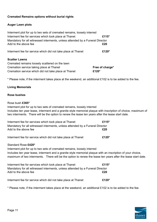#### **Cremated Remains options without burial rights**

#### **Auger Lawn plots**

| Interment plot for up to two sets of cremated remains, loosely interred       |                 |
|-------------------------------------------------------------------------------|-----------------|
| Interment fee for services which took place at Thanet                         | £115*           |
| Mandatory for all witnessed interments, unless attended by a Funeral Director |                 |
| Add to the above fee                                                          | £20             |
| Interment fee for service which did not take place at Thanet                  | £120*           |
| <b>Scatter Lawns</b>                                                          |                 |
| Cremated remains loosely scattered on the lawn                                |                 |
| Cremation service taking place at Thanet                                      | Free of charge* |
| Cremation service which did not take place at Thanet                          | £120*           |

\* Please note, if the interment takes place at the weekend, an additional £102 is to be added to the fee.

#### **Living Memorials**

#### **Rose bushes**

#### Rose bush **£365\***

Interment plot for up to two sets of cremated remains, loosely interred Includes ten year lease, interment and a granite style memorial plaque with inscription of choice, maximum of two interments. There will be the option to renew the lease ten years after the lease start date.

| Interment fee for services which took place at Thanet                                                            | £115* |
|------------------------------------------------------------------------------------------------------------------|-------|
| Mandatory for all witnessed interments, unless attended by a Funeral Director                                    |       |
| Add to the above fee                                                                                             | £20   |
|                                                                                                                  |       |
| Interment fee for service which did not take place at Thanet                                                     | £120* |
| Standard Rose £420*                                                                                              |       |
| that a more want on that form computer and contract a more to be a computer that the second computer was allowed |       |

Interment plot for up to two sets of cremated remains, loosely interred Includes ten year lease, interment and a granite style memorial plaque with an inscription of your choice, maximum of two interments. There will be the option to renew the lease ten years after the lease start date.

| Interment fee for services which took place at Thanet                         | £115* |
|-------------------------------------------------------------------------------|-------|
| Mandatory for all witnessed interments, unless attended by a Funeral Director |       |
| Add to the above fee                                                          | £20   |
|                                                                               |       |

Interment fee for service which did not take place at Thanet **£120\***

\* Please note, if the interment takes place at the weekend, an additional £102 is to be added to the fee.

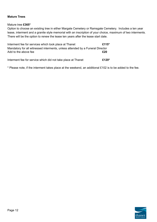#### **Mature Trees**

#### Mature tree **£365\***

Option to choose an existing tree in either Margate Cemetery or Ramsgate Cemetery. Includes a ten year lease, interment and a granite style memorial with an inscription of your choice, maximum of two interments. There will be the option to renew the lease ten years after the lease start date.

| Interment fee for services which took place at Thanet                                                 | £115* |
|-------------------------------------------------------------------------------------------------------|-------|
| Mandatory for all witnessed interments, unless attended by a Funeral Director<br>Add to the above fee | £20   |
| Interment fee for service which did not take place at Thanet                                          | £120* |

\* Please note, if the interment takes place at the weekend, an additional £102 is to be added to the fee.

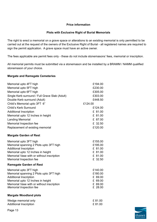#### **Price information**

#### **Plots with Exclusive Right of Burial Memorials**

The right to erect a memorial on a grave space or alterations to an existing memorial is only permitted to be carried out at the request of the owners of the Exclusive Right of Burial - all registered names are required to sign the permit application. A grave space must have an active owner.

The fees applicable are permit fees only - these do not include stonemasons' fees, memorial or inscription.

All memorial permits must be submitted via a stonemason and be installed by a BRAMM / NAMM qualified stonemason of your choice.

#### **Margate and Ramsgate Cemeteries**

| Memorial upto 4FT high                                                      | £194.00            |
|-----------------------------------------------------------------------------|--------------------|
| Memorial upto 5FT high                                                      | £230.00            |
| Memorial upto 6FT high                                                      | £305.00            |
| Single Kerb surround / Full Grave Slab (Adult)                              | £303.00            |
| Double Kerb surround (Adult)                                                | £448.50            |
| Child's Memorial upto 3FT 6"                                                | £124.00            |
| Child's Kerb Surround                                                       | £124.00            |
| <b>Additional Inscription</b>                                               | £ 81.00            |
| Memorial upto 12 Inches in height                                           | £ 81.00            |
| <b>Landing Memorial</b>                                                     | £ 87.00            |
| Memorial Inspection fee                                                     | £ 32.50            |
| Replacement of existing memorial                                            | £120.00            |
| <b>Margate Garden of Rest</b>                                               |                    |
| Memorial upto 3FT high                                                      | £155.00            |
| Memorial spanning 2 Plots upto 3FT high                                     | £195.00            |
| <b>Additional Inscription</b>                                               | £ 81.00            |
| Memorial upto 12 Inches in height                                           | £ 81.00            |
| Memorial Vase with or without inscription                                   | £ 81.00            |
| Memorial Inspection fee                                                     | £ 32.50            |
| <b>Ramsgate Garden of Rest</b>                                              |                    |
| Memorial upto 3FT high                                                      | £140.00            |
| Memorial spanning 2 Plots upto 3FT high                                     | £180.00            |
| <b>Additional Inscription</b>                                               | £ 69.00            |
| Memorial upto 12 Inches in height                                           | £ 69.00            |
| Memorial Vase with or without inscription<br><b>Memorial Inspection fee</b> | £ 69.00<br>£ 28.00 |
| <b>Margate Woodland plots</b>                                               |                    |
| Wedge memorial only                                                         | £81.00             |
| <b>Additional Inscription</b>                                               | £81.00             |
| $D = -40$                                                                   |                    |

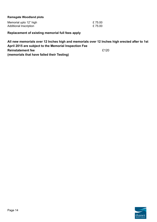#### **Ramsgate Woodland plots**

| Memorial upto 12" high | £75.00 |
|------------------------|--------|
| Additional Inscription | £75.00 |

**Replacement of existing memorial full fees apply**

**All new memorials over 12 Inches high and memorials over 12 Inches high erected after to 1st April 2015 are subject to the Memorial Inspection Fee Reinstatement fee E120 (memorials that have failed their Testing)**

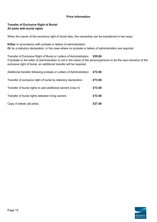#### **Price Information**

#### **Transfer of Exclusive Right of Burial All plots with burial rights**

When the owner of the exclusive right of burial dies, the ownership can be transferred in two ways

**Either** in accordance with probate or letters of administration **Or** by a statutory declaration, in the case where no probate or letters of administration are required

Transfer of Exclusive Right of Burial or Letters of Administration **£55.00** If probate or the letter of administration is not in the name of the person/persons to be the new owner(s) of the exclusive right of burial, an additional transfer will be required.

| Additional transfer following probate or Letters of Administration | £72.00 |
|--------------------------------------------------------------------|--------|
| Transfer of exclusive right of burial by statutory declaration     | £73.00 |
| Transfer of burial rights to add additional owners (max 4)         | £73.50 |
| Transfer of burial rights between living owners                    | £73.50 |
| Copy of deeds (all plots)                                          | £27.50 |

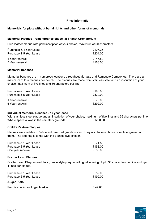#### **Price Information**

#### **Memorials for plots without burial rights and other forms of memorials**

#### **Memorial Plaques - remembrance chapel at Thanet Crematorium**

Blue leather plaque with gold inscription of your choice, maximum of 60 characters

| Purchase & 1 Year Lease | £107.25 |
|-------------------------|---------|
| Purchase & 5 Year Lease | £204.00 |
| 1 Year renewal          | £ 47.50 |
| 5 Year renewal          | £168.00 |

#### **Memorial Benches**

Memorial benches are in numerous locations throughout Margate and Ramsgate Cemeteries. There are a maximum of four plaques per bench. The plaques are made from stainless steel and an inscription of your choice, maximum of five lines and 36 characters per line.

| Purchase & 1 Year Lease | £198.00         |
|-------------------------|-----------------|
| Purchase & 5 Year Lease | £520.00         |
| 1 Year renewal          | £ 78.00         |
| 5 Year renewal          | <i>F2</i> 92 00 |

#### **Individual Memorial Benches - 10 year lease**

With stainless steel plaque and an inscription of your choice, maximum of five lines and 36 characters per line. Where space allows in the cemetery grounds  $£1250.00$ 

#### **Children's Area Plaques**

Plaques are available in 3 different coloured granite styles. They also have a choice of motif engraved on them. The lettering is toned with the granite style chosen.

| Purchase & 1 Year Lease | £ 71.50 |
|-------------------------|---------|
| Purchase & 5 Year Lease | £153.00 |
| One year renewal        | £ 35.00 |

#### **Scatter Lawn Plaques**

Scatter Lawn Plaques are black granite style plaques with gold lettering. Upto 36 characters per line and upto 4 lines per plaque.

| Purchase & 1 Year Lease<br>Purchase & 5 Year Lease | £ 82.00<br>£199.00 |
|----------------------------------------------------|--------------------|
| <b>Auger Plots</b>                                 |                    |
| Permission for an Auger Marker                     | £49.00             |

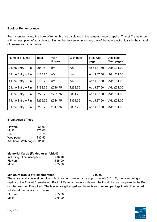#### **Book of Remembrance**

Permanent entry into the book of remembrance displayed in the remembrance chapel at Thanet Crematorium, with an inscription of your choice. Pin number to view entry on any day of the year electronically in the chapel of remembrance, or online.

| Number of Lines    | Total   | With<br>flowers | With motif | First Web<br>page | Additional<br>Web pages |
|--------------------|---------|-----------------|------------|-------------------|-------------------------|
| 2 Line Entry + Pin | £94.75  | n/a             | n/a        | Add £37.50        | Add £31.00              |
| 3 Line Entry + Pin | £127.75 | n/a             | n/a        | Add £37.50        | Add £31.00              |
| 4 Line Entry + Pin | £160.75 | n/a             | n/a        | Add £37.50        | Add £31.00              |
| 5 Line Entry + Pin | £193.75 | £248.75         | £268.75    | Add £37.50        | Add £31.00              |
| 6 Line Entry + Pin | £226.75 | £281.75         | £301.75    | Add £37.50        | Add £31.00              |
| 7 Line Entry + Pin | £259.75 | £314.75         | £334.75    | Add £37.50        | Add £31.00              |
| 8 Line Entry + Pin | £292.75 | £347.75         | £367.75    | Add £37.50        | Add £31.00              |

#### **Breakdown of fees**

| £55.00                      |
|-----------------------------|
| £75.00                      |
| £18.75                      |
| £37.50                      |
| Additional Web pages £31.00 |
|                             |

#### **Memorial Cards (Folded or unfolded)**

| Including 5 line inscription | £38.00 |
|------------------------------|--------|
| <b>Flowers</b>               | £55.00 |
| Motif                        | £75.00 |

#### **Miniature Books of Remembrance £ 90.00**

These are available in either blue or buff leather covering, size approximately  $5^{3/4}$ " x 8", the latter being a replica of the Thanet Crematorium Book of Remembrance, containing the inscription as it appears in the Book or other wording if required. The leaves are gilt edged and have three or more openings in which to record additional memorials if so desired.

| <b>Flowers</b> | £55.00 |
|----------------|--------|
| Motif          | £75.00 |